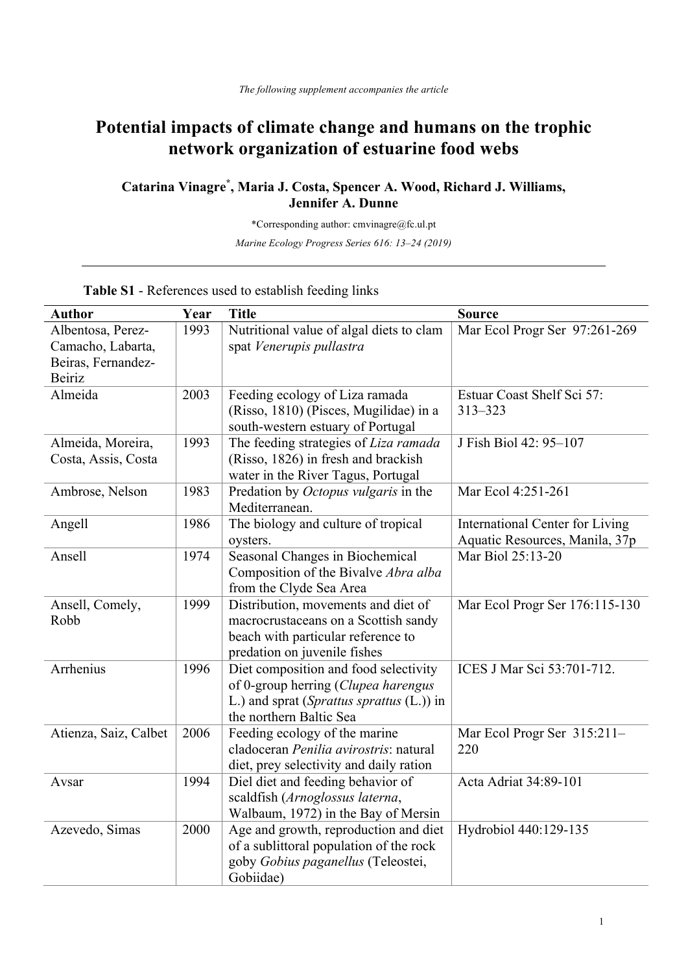## **Potential impacts of climate change and humans on the trophic network organization of estuarine food webs**

## **Catarina Vinagre\* , Maria J. Costa, Spencer A. Wood, Richard J. Williams, Jennifer A. Dunne**

\*Corresponding author: cmvinagre@fc.ul.pt

*Marine Ecology Progress Series 616: 13–24 (2019)*

| <b>Author</b>                                                          | Year | <b>Title</b>                                                                                                                                         | <b>Source</b>                                                     |  |
|------------------------------------------------------------------------|------|------------------------------------------------------------------------------------------------------------------------------------------------------|-------------------------------------------------------------------|--|
| Albentosa, Perez-<br>Camacho, Labarta,<br>Beiras, Fernandez-<br>Beiriz | 1993 | Nutritional value of algal diets to clam<br>spat Venerupis pullastra                                                                                 | Mar Ecol Progr Ser 97:261-269                                     |  |
| Almeida                                                                | 2003 | Feeding ecology of Liza ramada<br>(Risso, 1810) (Pisces, Mugilidae) in a<br>south-western estuary of Portugal                                        | Estuar Coast Shelf Sci 57:<br>313-323                             |  |
| Almeida, Moreira,<br>Costa, Assis, Costa                               | 1993 | The feeding strategies of Liza ramada<br>(Risso, 1826) in fresh and brackish<br>water in the River Tagus, Portugal                                   | J Fish Biol 42: 95-107                                            |  |
| Ambrose, Nelson                                                        | 1983 | Predation by Octopus vulgaris in the<br>Mediterranean.                                                                                               | Mar Ecol 4:251-261                                                |  |
| Angell                                                                 | 1986 | The biology and culture of tropical<br>oysters.                                                                                                      | International Center for Living<br>Aquatic Resources, Manila, 37p |  |
| Ansell                                                                 | 1974 | Seasonal Changes in Biochemical<br>Composition of the Bivalve Abra alba<br>from the Clyde Sea Area                                                   | Mar Biol 25:13-20                                                 |  |
| Ansell, Comely,<br>Robb                                                | 1999 | Distribution, movements and diet of<br>macrocrustaceans on a Scottish sandy<br>beach with particular reference to<br>predation on juvenile fishes    | Mar Ecol Progr Ser 176:115-130                                    |  |
| Arrhenius                                                              | 1996 | Diet composition and food selectivity<br>of 0-group herring (Clupea harengus<br>L.) and sprat (Sprattus sprattus (L.)) in<br>the northern Baltic Sea | ICES J Mar Sci 53:701-712.                                        |  |
| Atienza, Saiz, Calbet                                                  | 2006 | Feeding ecology of the marine<br>cladoceran Penilia avirostris: natural<br>diet, prey selectivity and daily ration                                   | Mar Ecol Progr Ser 315:211-<br>220                                |  |
| Avsar                                                                  | 1994 | Diel diet and feeding behavior of<br>scaldfish (Arnoglossus laterna,<br>Walbaum, 1972) in the Bay of Mersin                                          | Acta Adriat 34:89-101                                             |  |
| Azevedo, Simas                                                         | 2000 | Age and growth, reproduction and diet<br>of a sublittoral population of the rock<br>goby Gobius paganellus (Teleostei,<br>Gobiidae)                  | Hydrobiol 440:129-135                                             |  |

## **Table S1** - References used to establish feeding links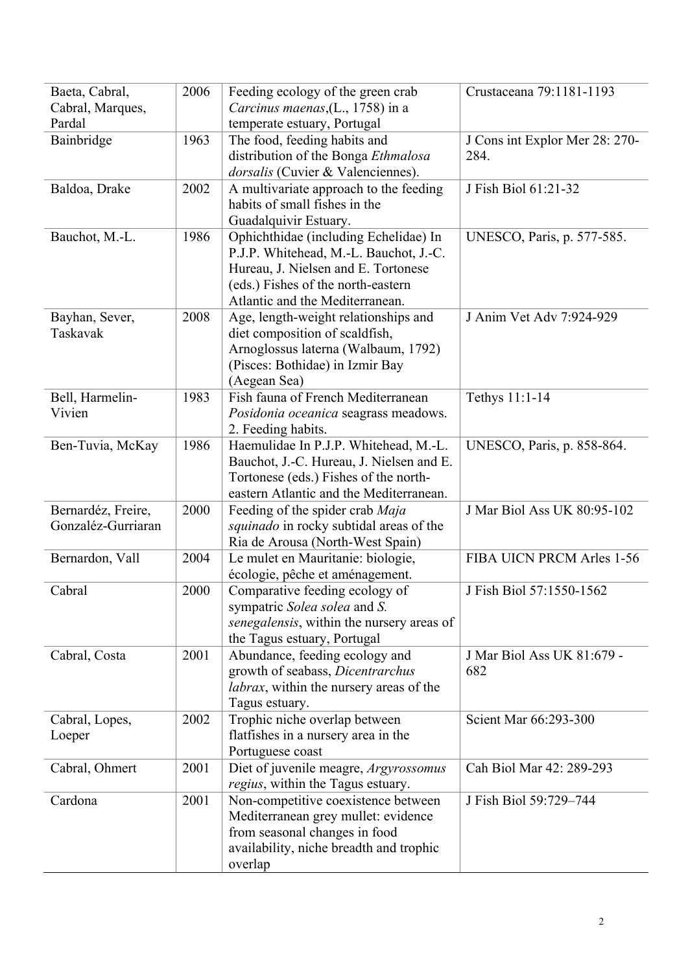| Baeta, Cabral,           | 2006 | Feeding ecology of the green crab                                    | Crustaceana 79:1181-1193       |  |
|--------------------------|------|----------------------------------------------------------------------|--------------------------------|--|
| Cabral, Marques,         |      | Carcinus maenas, (L., 1758) in a                                     |                                |  |
| Pardal                   |      | temperate estuary, Portugal                                          |                                |  |
| Bainbridge               | 1963 | The food, feeding habits and                                         | J Cons int Explor Mer 28: 270- |  |
|                          |      | distribution of the Bonga Ethmalosa                                  | 284.                           |  |
|                          |      | dorsalis (Cuvier & Valenciennes).                                    |                                |  |
| Baldoa, Drake            | 2002 | A multivariate approach to the feeding                               | J Fish Biol 61:21-32           |  |
|                          |      | habits of small fishes in the                                        |                                |  |
|                          |      | Guadalquivir Estuary.                                                |                                |  |
| Bauchot, M.-L.           | 1986 | Ophichthidae (including Echelidae) In                                | UNESCO, Paris, p. 577-585.     |  |
|                          |      | P.J.P. Whitehead, M.-L. Bauchot, J.-C.                               |                                |  |
|                          |      | Hureau, J. Nielsen and E. Tortonese                                  |                                |  |
|                          |      | (eds.) Fishes of the north-eastern                                   |                                |  |
|                          |      | Atlantic and the Mediterranean.                                      |                                |  |
| Bayhan, Sever,           | 2008 | Age, length-weight relationships and                                 | J Anim Vet Adv 7:924-929       |  |
| Taskavak                 |      | diet composition of scaldfish,                                       |                                |  |
|                          |      | Arnoglossus laterna (Walbaum, 1792)                                  |                                |  |
|                          |      | (Pisces: Bothidae) in Izmir Bay                                      |                                |  |
|                          |      | (Aegean Sea)                                                         |                                |  |
| Bell, Harmelin-          | 1983 | Fish fauna of French Mediterranean                                   | Tethys 11:1-14                 |  |
| Vivien                   |      | Posidonia oceanica seagrass meadows.                                 |                                |  |
|                          |      | 2. Feeding habits.                                                   |                                |  |
| 1986<br>Ben-Tuvia, McKay |      | Haemulidae In P.J.P. Whitehead, M.-L.                                | UNESCO, Paris, p. 858-864.     |  |
|                          |      | Bauchot, J.-C. Hureau, J. Nielsen and E.                             |                                |  |
|                          |      | Tortonese (eds.) Fishes of the north-                                |                                |  |
|                          |      | eastern Atlantic and the Mediterranean.                              |                                |  |
| Bernardéz, Freire,       | 2000 | Feeding of the spider crab Maja                                      | J Mar Biol Ass UK 80:95-102    |  |
| Gonzaléz-Gurriaran       |      | squinado in rocky subtidal areas of the                              |                                |  |
|                          |      | Ria de Arousa (North-West Spain)                                     |                                |  |
| Bernardon, Vall          | 2004 | Le mulet en Mauritanie: biologie,                                    | FIBA UICN PRCM Arles 1-56      |  |
|                          |      | écologie, pêche et aménagement.                                      |                                |  |
| Cabral                   | 2000 | Comparative feeding ecology of                                       | J Fish Biol 57:1550-1562       |  |
|                          |      | sympatric Solea solea and S.                                         |                                |  |
|                          |      | senegalensis, within the nursery areas of                            |                                |  |
|                          |      | the Tagus estuary, Portugal                                          |                                |  |
| Cabral, Costa            | 2001 | Abundance, feeding ecology and                                       | J Mar Biol Ass UK 81:679 -     |  |
|                          |      | growth of seabass, Dicentrarchus                                     | 682                            |  |
|                          |      | labrax, within the nursery areas of the                              |                                |  |
|                          |      | Tagus estuary.                                                       |                                |  |
| Cabral, Lopes,           | 2002 | Trophic niche overlap between                                        | Scient Mar 66:293-300          |  |
| Loeper                   |      | flatfishes in a nursery area in the                                  |                                |  |
|                          |      | Portuguese coast                                                     |                                |  |
| Cabral, Ohmert           | 2001 | Diet of juvenile meagre, <i>Argyrossomus</i>                         | Cah Biol Mar 42: 289-293       |  |
| Cardona                  | 2001 | regius, within the Tagus estuary.                                    | J Fish Biol 59:729-744         |  |
|                          |      | Non-competitive coexistence between                                  |                                |  |
|                          |      | Mediterranean grey mullet: evidence<br>from seasonal changes in food |                                |  |
|                          |      |                                                                      |                                |  |
|                          |      | availability, niche breadth and trophic                              |                                |  |
|                          |      | overlap                                                              |                                |  |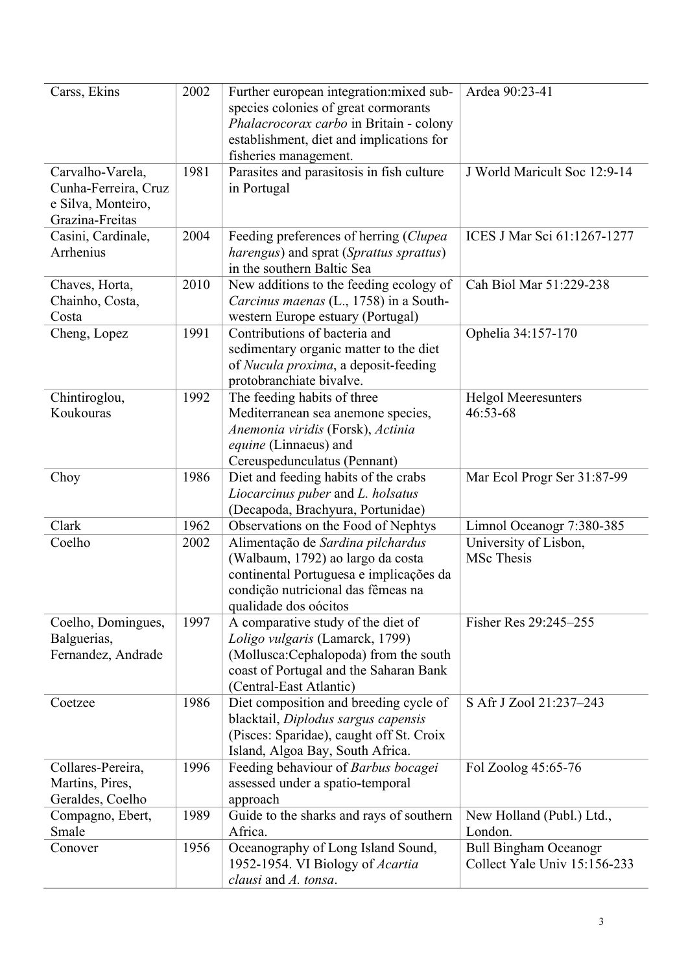| Carss, Ekins                                                                      | 2002 | Further european integration: mixed sub-<br>species colonies of great cormorants<br>Phalacrocorax carbo in Britain - colony<br>establishment, diet and implications for<br>fisheries management. | Ardea 90:23-41                                               |
|-----------------------------------------------------------------------------------|------|--------------------------------------------------------------------------------------------------------------------------------------------------------------------------------------------------|--------------------------------------------------------------|
| Carvalho-Varela,<br>Cunha-Ferreira, Cruz<br>e Silva, Monteiro,<br>Grazina-Freitas | 1981 | Parasites and parasitosis in fish culture<br>in Portugal                                                                                                                                         | J World Maricult Soc 12:9-14                                 |
| Casini, Cardinale,<br>Arrhenius                                                   | 2004 | Feeding preferences of herring (Clupea<br><i>harengus</i> ) and sprat ( <i>Sprattus sprattus</i> )<br>in the southern Baltic Sea                                                                 | ICES J Mar Sci 61:1267-1277                                  |
| Chaves, Horta,<br>Chainho, Costa,<br>Costa                                        | 2010 | New additions to the feeding ecology of<br>Carcinus maenas (L., 1758) in a South-<br>western Europe estuary (Portugal)                                                                           | Cah Biol Mar 51:229-238                                      |
| Cheng, Lopez                                                                      | 1991 | Contributions of bacteria and<br>sedimentary organic matter to the diet<br>of Nucula proxima, a deposit-feeding<br>protobranchiate bivalve.                                                      | Ophelia 34:157-170                                           |
| Chintiroglou,<br>Koukouras                                                        | 1992 | The feeding habits of three<br>Mediterranean sea anemone species,<br>Anemonia viridis (Forsk), Actinia<br>equine (Linnaeus) and<br>Cereuspedunculatus (Pennant)                                  | <b>Helgol Meeresunters</b><br>46:53-68                       |
| Choy                                                                              | 1986 | Diet and feeding habits of the crabs<br>Liocarcinus puber and L. holsatus<br>(Decapoda, Brachyura, Portunidae)                                                                                   | Mar Ecol Progr Ser 31:87-99                                  |
| Clark                                                                             | 1962 | Observations on the Food of Nephtys                                                                                                                                                              | Limnol Oceanogr 7:380-385                                    |
| Coelho                                                                            | 2002 | Alimentação de Sardina pilchardus<br>(Walbaum, 1792) ao largo da costa<br>continental Portuguesa e implicações da<br>condição nutricional das fêmeas na<br>qualidade dos oócitos                 | University of Lisbon,<br><b>MSc Thesis</b>                   |
| Coelho, Domingues,<br>Balguerias,<br>Fernandez, Andrade                           | 1997 | A comparative study of the diet of<br>Loligo vulgaris (Lamarck, 1799)<br>(Mollusca:Cephalopoda) from the south<br>coast of Portugal and the Saharan Bank<br>(Central-East Atlantic)              | Fisher Res 29:245-255                                        |
| Coetzee                                                                           | 1986 | Diet composition and breeding cycle of<br>blacktail, Diplodus sargus capensis<br>(Pisces: Sparidae), caught off St. Croix<br>Island, Algoa Bay, South Africa.                                    | S Afr J Zool 21:237-243                                      |
| Collares-Pereira,<br>Martins, Pires,<br>Geraldes, Coelho                          | 1996 | Feeding behaviour of Barbus bocagei<br>assessed under a spatio-temporal<br>approach                                                                                                              | Fol Zoolog 45:65-76                                          |
| Compagno, Ebert,<br>Smale                                                         | 1989 | Guide to the sharks and rays of southern<br>Africa.                                                                                                                                              | New Holland (Publ.) Ltd.,<br>London.                         |
| Conover                                                                           | 1956 | Oceanography of Long Island Sound,<br>1952-1954. VI Biology of Acartia<br>clausi and A. tonsa.                                                                                                   | <b>Bull Bingham Oceanogr</b><br>Collect Yale Univ 15:156-233 |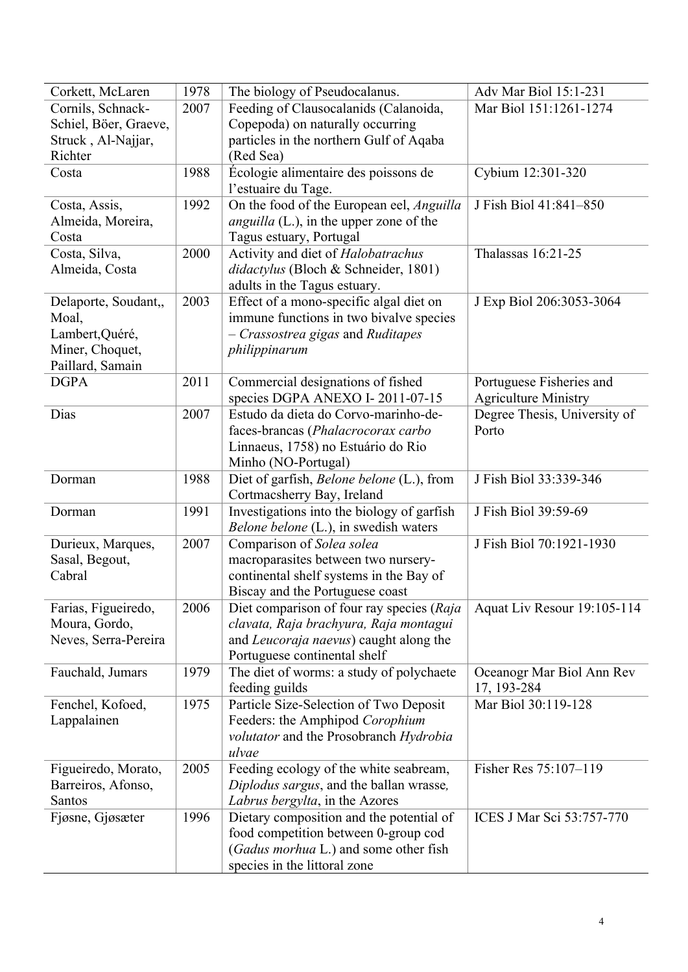| Corkett, McLaren      | 1978 | The biology of Pseudocalanus.                                             | Adv Mar Biol 15:1-231        |
|-----------------------|------|---------------------------------------------------------------------------|------------------------------|
| Cornils, Schnack-     | 2007 | Feeding of Clausocalanids (Calanoida,                                     | Mar Biol 151:1261-1274       |
| Schiel, Böer, Graeve, |      | Copepoda) on naturally occurring                                          |                              |
| Struck, Al-Najjar,    |      | particles in the northern Gulf of Aqaba                                   |                              |
| Richter               |      | (Red Sea)                                                                 |                              |
| Costa                 | 1988 | Écologie alimentaire des poissons de                                      | Cybium 12:301-320            |
|                       |      | l'estuaire du Tage.                                                       |                              |
| Costa, Assis,         | 1992 | On the food of the European eel, Anguilla                                 | J Fish Biol 41:841-850       |
| Almeida, Moreira,     |      | <i>anguilla</i> $(Ll)$ , in the upper zone of the                         |                              |
| Costa                 |      | Tagus estuary, Portugal                                                   |                              |
| Costa, Silva,         | 2000 | Activity and diet of Halobatrachus                                        | Thalassas 16:21-25           |
| Almeida, Costa        |      | didactylus (Bloch & Schneider, 1801)                                      |                              |
|                       |      | adults in the Tagus estuary.                                              |                              |
| Delaporte, Soudant,,  | 2003 | Effect of a mono-specific algal diet on                                   | J Exp Biol 206:3053-3064     |
| Moal,                 |      | immune functions in two bivalve species                                   |                              |
| Lambert, Quéré,       |      | - Crassostrea gigas and Ruditapes                                         |                              |
| Miner, Choquet,       |      | philippinarum                                                             |                              |
| Paillard, Samain      |      |                                                                           |                              |
| <b>DGPA</b>           | 2011 | Commercial designations of fished                                         | Portuguese Fisheries and     |
|                       |      | species DGPA ANEXO I-2011-07-15                                           | <b>Agriculture Ministry</b>  |
| Dias                  | 2007 | Estudo da dieta do Corvo-marinho-de-                                      | Degree Thesis, University of |
|                       |      | faces-brancas (Phalacrocorax carbo                                        | Porto                        |
|                       |      | Linnaeus, 1758) no Estuário do Rio                                        |                              |
|                       |      | Minho (NO-Portugal)                                                       |                              |
| Dorman                | 1988 | Diet of garfish, Belone belone (L.), from                                 | J Fish Biol 33:339-346       |
|                       |      | Cortmacsherry Bay, Ireland                                                |                              |
| Dorman                | 1991 | Investigations into the biology of garfish                                | J Fish Biol 39:59-69         |
| Durieux, Marques,     | 2007 | <i>Belone belone</i> (L.), in swedish waters<br>Comparison of Solea solea | J Fish Biol 70:1921-1930     |
| Sasal, Begout,        |      | macroparasites between two nursery-                                       |                              |
| Cabral                |      | continental shelf systems in the Bay of                                   |                              |
|                       |      | Biscay and the Portuguese coast                                           |                              |
| Farias, Figueiredo,   | 2006 | Diet comparison of four ray species (Raja                                 | Aquat Liv Resour 19:105-114  |
| Moura, Gordo,         |      | clavata, Raja brachyura, Raja montagui                                    |                              |
| Neves, Serra-Pereira  |      | and Leucoraja naevus) caught along the                                    |                              |
|                       |      | Portuguese continental shelf                                              |                              |
| Fauchald, Jumars      | 1979 | The diet of worms: a study of polychaete                                  | Oceanogr Mar Biol Ann Rev    |
|                       |      | feeding guilds                                                            | 17, 193-284                  |
| Fenchel, Kofoed,      | 1975 | Particle Size-Selection of Two Deposit                                    | Mar Biol 30:119-128          |
| Lappalainen           |      | Feeders: the Amphipod Corophium                                           |                              |
|                       |      | volutator and the Prosobranch Hydrobia                                    |                              |
|                       |      | ulvae                                                                     |                              |
| Figueiredo, Morato,   | 2005 | Feeding ecology of the white seabream,                                    | Fisher Res 75:107-119        |
| Barreiros, Afonso,    |      | Diplodus sargus, and the ballan wrasse,                                   |                              |
| <b>Santos</b>         |      | Labrus bergylta, in the Azores                                            |                              |
| Fjøsne, Gjøsæter      | 1996 | Dietary composition and the potential of                                  | ICES J Mar Sci 53:757-770    |
|                       |      | food competition between 0-group cod                                      |                              |
|                       |      | (Gadus morhua L.) and some other fish                                     |                              |
|                       |      | species in the littoral zone                                              |                              |
|                       |      |                                                                           |                              |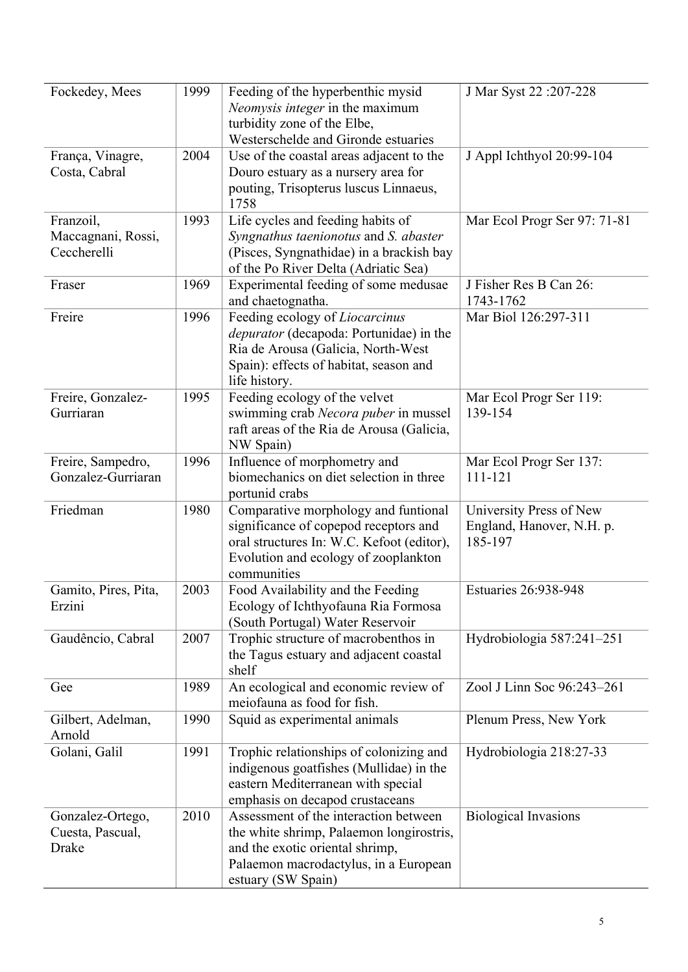| Fockedey, Mees                                 | 1999 | Feeding of the hyperbenthic mysid<br>Neomysis integer in the maximum<br>turbidity zone of the Elbe,<br>Westerschelde and Gironde estuaries                                          | J Mar Syst 22 : 207-228                                         |  |
|------------------------------------------------|------|-------------------------------------------------------------------------------------------------------------------------------------------------------------------------------------|-----------------------------------------------------------------|--|
| França, Vinagre,<br>Costa, Cabral              | 2004 | Use of the coastal areas adjacent to the<br>Douro estuary as a nursery area for<br>pouting, Trisopterus luscus Linnaeus,<br>1758                                                    | J Appl Ichthyol 20:99-104                                       |  |
| Franzoil,<br>Maccagnani, Rossi,<br>Ceccherelli | 1993 | Life cycles and feeding habits of<br>Syngnathus taenionotus and S. abaster<br>(Pisces, Syngnathidae) in a brackish bay<br>of the Po River Delta (Adriatic Sea)                      | Mar Ecol Progr Ser 97: 71-81                                    |  |
| Fraser                                         | 1969 | Experimental feeding of some medusae<br>and chaetognatha.                                                                                                                           | J Fisher Res B Can 26:<br>1743-1762                             |  |
| Freire                                         | 1996 | Feeding ecology of Liocarcinus<br><i>depurator</i> (decapoda: Portunidae) in the<br>Ria de Arousa (Galicia, North-West<br>Spain): effects of habitat, season and<br>life history.   | Mar Biol 126:297-311                                            |  |
| Freire, Gonzalez-<br>Gurriaran                 | 1995 | Feeding ecology of the velvet<br>swimming crab Necora puber in mussel<br>raft areas of the Ria de Arousa (Galicia,<br>NW Spain)                                                     | Mar Ecol Progr Ser 119:<br>139-154                              |  |
| Freire, Sampedro,<br>Gonzalez-Gurriaran        | 1996 | Influence of morphometry and<br>biomechanics on diet selection in three<br>portunid crabs                                                                                           | Mar Ecol Progr Ser 137:<br>111-121                              |  |
| Friedman                                       | 1980 | Comparative morphology and funtional<br>significance of copepod receptors and<br>oral structures In: W.C. Kefoot (editor),<br>Evolution and ecology of zooplankton<br>communities   | University Press of New<br>England, Hanover, N.H. p.<br>185-197 |  |
| Gamito, Pires, Pita,<br>Erzini                 | 2003 | Food Availability and the Feeding<br>Ecology of Ichthyofauna Ria Formosa<br>(South Portugal) Water Reservoir                                                                        | Estuaries 26:938-948                                            |  |
| Gaudêncio, Cabral                              | 2007 | Trophic structure of macrobenthos in<br>the Tagus estuary and adjacent coastal<br>shelf                                                                                             | Hydrobiologia 587:241-251                                       |  |
| Gee                                            | 1989 | An ecological and economic review of<br>meiofauna as food for fish.                                                                                                                 | Zool J Linn Soc 96:243-261                                      |  |
| Gilbert, Adelman,<br>Arnold                    | 1990 | Squid as experimental animals                                                                                                                                                       | Plenum Press, New York                                          |  |
| Golani, Galil                                  | 1991 | Trophic relationships of colonizing and<br>indigenous goatfishes (Mullidae) in the<br>eastern Mediterranean with special<br>emphasis on decapod crustaceans                         | Hydrobiologia 218:27-33                                         |  |
| Gonzalez-Ortego,<br>Cuesta, Pascual,<br>Drake  | 2010 | Assessment of the interaction between<br>the white shrimp, Palaemon longirostris,<br>and the exotic oriental shrimp,<br>Palaemon macrodactylus, in a European<br>estuary (SW Spain) | <b>Biological Invasions</b>                                     |  |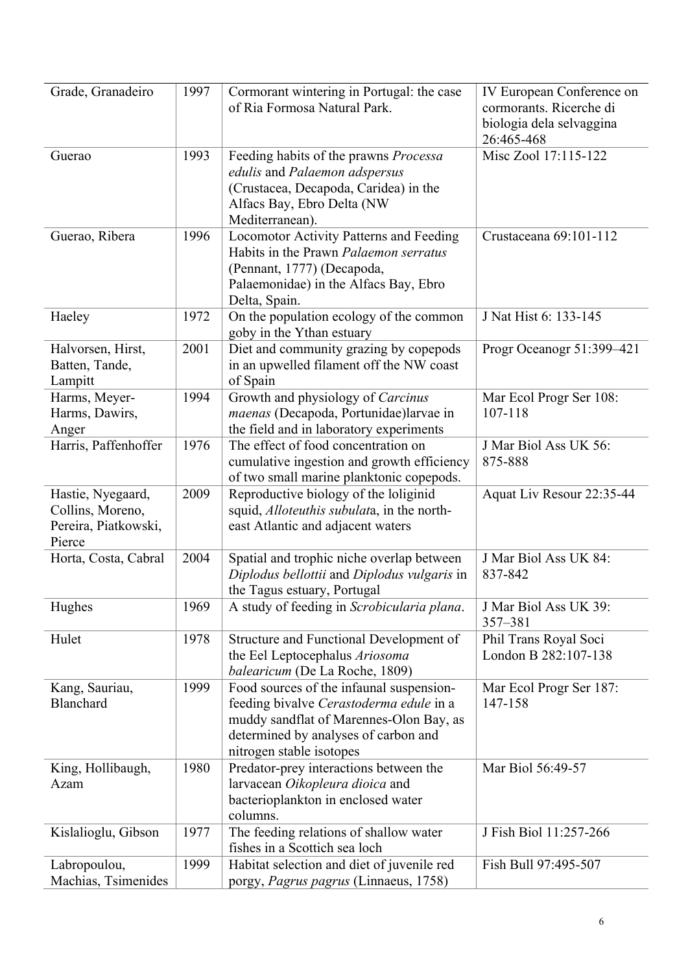| Grade, Granadeiro                                                       | 1997 | Cormorant wintering in Portugal: the case<br>of Ria Formosa Natural Park.                                                                                                                          | IV European Conference on<br>cormorants. Ricerche di<br>biologia dela selvaggina |  |
|-------------------------------------------------------------------------|------|----------------------------------------------------------------------------------------------------------------------------------------------------------------------------------------------------|----------------------------------------------------------------------------------|--|
|                                                                         |      |                                                                                                                                                                                                    | 26:465-468                                                                       |  |
| Guerao                                                                  | 1993 | Feeding habits of the prawns Processa<br>edulis and Palaemon adspersus<br>(Crustacea, Decapoda, Caridea) in the<br>Alfacs Bay, Ebro Delta (NW<br>Mediterranean).                                   | Misc Zool 17:115-122                                                             |  |
| Guerao, Ribera                                                          | 1996 | <b>Locomotor Activity Patterns and Feeding</b><br>Habits in the Prawn Palaemon serratus<br>(Pennant, 1777) (Decapoda,<br>Palaemonidae) in the Alfacs Bay, Ebro<br>Delta, Spain.                    | Crustaceana 69:101-112                                                           |  |
| Haeley                                                                  | 1972 | On the population ecology of the common<br>goby in the Ythan estuary                                                                                                                               | J Nat Hist 6: 133-145                                                            |  |
| Halvorsen, Hirst,<br>Batten, Tande,<br>Lampitt                          | 2001 | Diet and community grazing by copepods<br>in an upwelled filament off the NW coast<br>of Spain                                                                                                     | Progr Oceanogr 51:399-421                                                        |  |
| Harms, Meyer-<br>Harms, Dawirs,<br>Anger                                | 1994 | Growth and physiology of Carcinus<br>maenas (Decapoda, Portunidae) larvae in<br>the field and in laboratory experiments                                                                            | Mar Ecol Progr Ser 108:<br>107-118                                               |  |
| Harris, Paffenhoffer                                                    | 1976 | The effect of food concentration on<br>cumulative ingestion and growth efficiency<br>of two small marine planktonic copepods.                                                                      | J Mar Biol Ass UK 56:<br>875-888                                                 |  |
| Hastie, Nyegaard,<br>Collins, Moreno,<br>Pereira, Piatkowski,<br>Pierce | 2009 | Reproductive biology of the loliginid<br>squid, Alloteuthis subulata, in the north-<br>east Atlantic and adjacent waters                                                                           | Aquat Liv Resour 22:35-44                                                        |  |
| Horta, Costa, Cabral                                                    | 2004 | Spatial and trophic niche overlap between<br>Diplodus bellottii and Diplodus vulgaris in<br>the Tagus estuary, Portugal                                                                            | J Mar Biol Ass UK 84:<br>837-842                                                 |  |
| Hughes                                                                  | 1969 | A study of feeding in Scrobicularia plana.                                                                                                                                                         | J Mar Biol Ass UK 39:<br>357-381                                                 |  |
| Hulet                                                                   | 1978 | Structure and Functional Development of<br>the Eel Leptocephalus Ariosoma<br><i>balearicum</i> (De La Roche, 1809)                                                                                 | Phil Trans Royal Soci<br>London B 282:107-138                                    |  |
| Kang, Sauriau,<br>Blanchard                                             | 1999 | Food sources of the infaunal suspension-<br>feeding bivalve Cerastoderma edule in a<br>muddy sandflat of Marennes-Olon Bay, as<br>determined by analyses of carbon and<br>nitrogen stable isotopes | Mar Ecol Progr Ser 187:<br>147-158                                               |  |
| King, Hollibaugh,<br>Azam                                               | 1980 | Predator-prey interactions between the<br>larvacean Oikopleura dioica and<br>bacterioplankton in enclosed water<br>columns.                                                                        | Mar Biol 56:49-57                                                                |  |
| Kislalioglu, Gibson                                                     | 1977 | The feeding relations of shallow water<br>fishes in a Scottich sea loch                                                                                                                            | J Fish Biol 11:257-266                                                           |  |
| Labropoulou,<br>Machias, Tsimenides                                     | 1999 | Habitat selection and diet of juvenile red<br>porgy, Pagrus pagrus (Linnaeus, 1758)                                                                                                                | Fish Bull 97:495-507                                                             |  |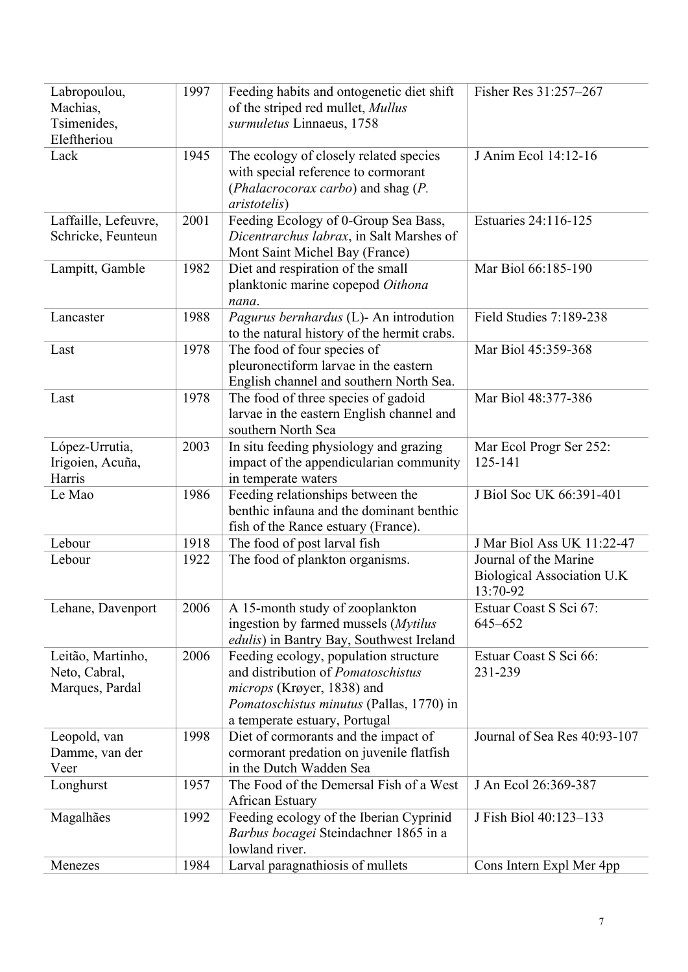| Labropoulou,         | 1997 | Feeding habits and ontogenetic diet shift                                      | Fisher Res 31:257-267             |  |
|----------------------|------|--------------------------------------------------------------------------------|-----------------------------------|--|
| Machias,             |      | of the striped red mullet, Mullus                                              |                                   |  |
| Tsimenides,          |      | surmuletus Linnaeus, 1758                                                      |                                   |  |
| Eleftheriou          |      |                                                                                |                                   |  |
| Lack                 | 1945 | The ecology of closely related species<br>with special reference to cormorant  | J Anim Ecol 14:12-16              |  |
|                      |      | (Phalacrocorax carbo) and shag (P.                                             |                                   |  |
|                      |      | <i>aristotelis</i> )                                                           |                                   |  |
| Laffaille, Lefeuvre, | 2001 | Feeding Ecology of 0-Group Sea Bass,                                           | <b>Estuaries 24:116-125</b>       |  |
| Schricke, Feunteun   |      | Dicentrarchus labrax, in Salt Marshes of                                       |                                   |  |
|                      |      | Mont Saint Michel Bay (France)                                                 |                                   |  |
| Lampitt, Gamble      | 1982 | Diet and respiration of the small                                              | Mar Biol 66:185-190               |  |
|                      |      | planktonic marine copepod Oithona                                              |                                   |  |
|                      |      | nana.                                                                          |                                   |  |
| Lancaster            | 1988 | Pagurus bernhardus (L)- An introdution                                         | Field Studies 7:189-238           |  |
|                      |      | to the natural history of the hermit crabs.                                    |                                   |  |
| Last                 | 1978 | The food of four species of                                                    | Mar Biol 45:359-368               |  |
|                      |      | pleuronectiform larvae in the eastern                                          |                                   |  |
| Last                 | 1978 | English channel and southern North Sea.<br>The food of three species of gadoid | Mar Biol 48:377-386               |  |
|                      |      | larvae in the eastern English channel and                                      |                                   |  |
|                      |      | southern North Sea                                                             |                                   |  |
| López-Urrutia,       | 2003 | In situ feeding physiology and grazing                                         | Mar Ecol Progr Ser 252:           |  |
| Irigoien, Acuña,     |      | impact of the appendicularian community                                        | 125-141                           |  |
| Harris               |      | in temperate waters                                                            |                                   |  |
| Le Mao               | 1986 | Feeding relationships between the                                              | J Biol Soc UK 66:391-401          |  |
|                      |      | benthic infauna and the dominant benthic                                       |                                   |  |
|                      |      | fish of the Rance estuary (France).                                            |                                   |  |
| Lebour               | 1918 | The food of post larval fish                                                   | J Mar Biol Ass UK 11:22-47        |  |
| Lebour               | 1922 | The food of plankton organisms.                                                | Journal of the Marine             |  |
|                      |      |                                                                                | <b>Biological Association U.K</b> |  |
|                      |      |                                                                                | 13:70-92                          |  |
| Lehane, Davenport    | 2006 | A 15-month study of zooplankton<br>ingestion by farmed mussels (Mytilus        | Estuar Coast S Sci 67:<br>645-652 |  |
|                      |      | edulis) in Bantry Bay, Southwest Ireland                                       |                                   |  |
| Leitão, Martinho,    | 2006 | Feeding ecology, population structure                                          | Estuar Coast S Sci 66:            |  |
| Neto, Cabral,        |      | and distribution of Pomatoschistus                                             | 231-239                           |  |
| Marques, Pardal      |      | microps (Krøyer, 1838) and                                                     |                                   |  |
|                      |      | Pomatoschistus minutus (Pallas, 1770) in                                       |                                   |  |
|                      |      | a temperate estuary, Portugal                                                  |                                   |  |
| Leopold, van         | 1998 | Diet of cormorants and the impact of                                           | Journal of Sea Res 40:93-107      |  |
| Damme, van der       |      | cormorant predation on juvenile flatfish                                       |                                   |  |
| Veer                 |      | in the Dutch Wadden Sea                                                        |                                   |  |
| Longhurst            | 1957 | The Food of the Demersal Fish of a West                                        | J An Ecol 26:369-387              |  |
|                      |      | African Estuary                                                                |                                   |  |
| Magalhães            | 1992 | Feeding ecology of the Iberian Cyprinid                                        | J Fish Biol 40:123-133            |  |
|                      |      | Barbus bocagei Steindachner 1865 in a<br>lowland river.                        |                                   |  |
| Menezes              | 1984 | Larval paragnathiosis of mullets                                               | Cons Intern Expl Mer 4pp          |  |
|                      |      |                                                                                |                                   |  |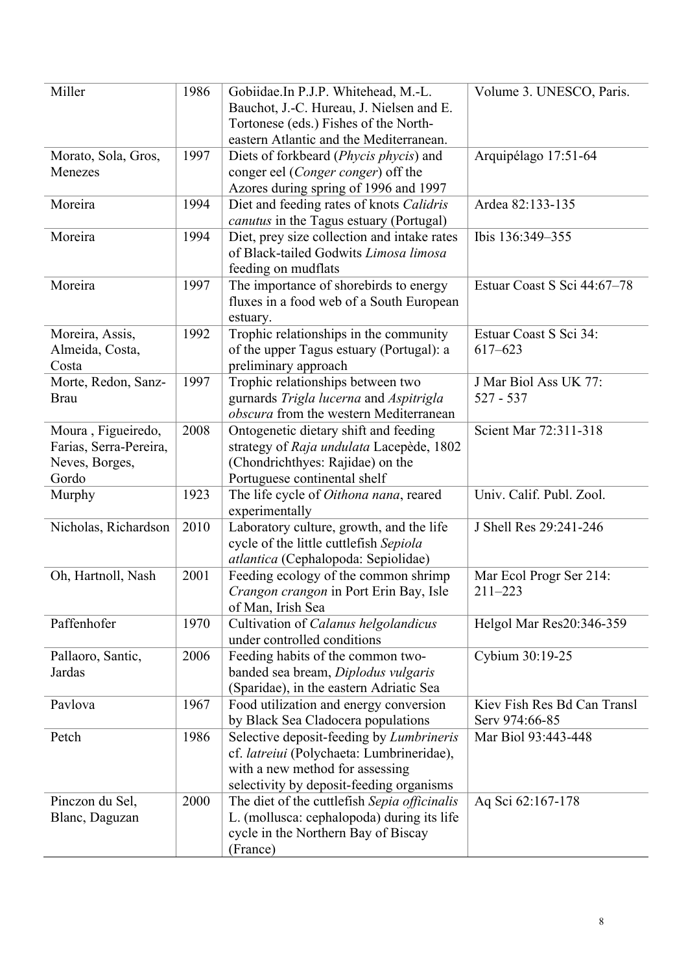| Miller                 | 1986 | Gobiidae.In P.J.P. Whitehead, M.-L.             | Volume 3. UNESCO, Paris.    |  |  |
|------------------------|------|-------------------------------------------------|-----------------------------|--|--|
|                        |      | Bauchot, J.-C. Hureau, J. Nielsen and E.        |                             |  |  |
|                        |      | Tortonese (eds.) Fishes of the North-           |                             |  |  |
|                        |      | eastern Atlantic and the Mediterranean.         |                             |  |  |
| Morato, Sola, Gros,    | 1997 | Diets of forkbeard ( <i>Phycis phycis</i> ) and | Arquipélago 17:51-64        |  |  |
| Menezes                |      | conger eel ( <i>Conger conger</i> ) off the     |                             |  |  |
|                        |      | Azores during spring of 1996 and 1997           |                             |  |  |
| Moreira                | 1994 | Diet and feeding rates of knots Calidris        | Ardea 82:133-135            |  |  |
|                        |      | <i>canutus</i> in the Tagus estuary (Portugal)  |                             |  |  |
| Moreira                | 1994 | Diet, prey size collection and intake rates     | Ibis 136:349-355            |  |  |
|                        |      | of Black-tailed Godwits Limosa limosa           |                             |  |  |
|                        |      | feeding on mudflats                             |                             |  |  |
| Moreira                | 1997 | The importance of shorebirds to energy          | Estuar Coast S Sci 44:67-78 |  |  |
|                        |      | fluxes in a food web of a South European        |                             |  |  |
|                        |      | estuary.                                        |                             |  |  |
| Moreira, Assis,        | 1992 | Trophic relationships in the community          | Estuar Coast S Sci 34:      |  |  |
| Almeida, Costa,        |      | of the upper Tagus estuary (Portugal): a        | $617 - 623$                 |  |  |
| Costa                  |      | preliminary approach                            |                             |  |  |
| Morte, Redon, Sanz-    | 1997 | Trophic relationships between two               | J Mar Biol Ass UK 77:       |  |  |
| <b>Brau</b>            |      | gurnards Trigla lucerna and Aspitrigla          | $527 - 537$                 |  |  |
|                        |      | obscura from the western Mediterranean          |                             |  |  |
| Moura, Figueiredo,     | 2008 | Ontogenetic dietary shift and feeding           | Scient Mar 72:311-318       |  |  |
| Farias, Serra-Pereira, |      | strategy of Raja undulata Lacepède, 1802        |                             |  |  |
| Neves, Borges,         |      | (Chondrichthyes: Rajidae) on the                |                             |  |  |
| Gordo                  |      | Portuguese continental shelf                    |                             |  |  |
| Murphy                 | 1923 | The life cycle of Oithona nana, reared          | Univ. Calif. Publ. Zool.    |  |  |
|                        |      | experimentally                                  |                             |  |  |
| Nicholas, Richardson   | 2010 | Laboratory culture, growth, and the life        | J Shell Res 29:241-246      |  |  |
|                        |      | cycle of the little cuttlefish Sepiola          |                             |  |  |
|                        |      | atlantica (Cephalopoda: Sepiolidae)             |                             |  |  |
| Oh, Hartnoll, Nash     | 2001 | Feeding ecology of the common shrimp            | Mar Ecol Progr Ser 214:     |  |  |
|                        |      | Crangon crangon in Port Erin Bay, Isle          | $211 - 223$                 |  |  |
|                        |      | of Man, Irish Sea                               |                             |  |  |
| Paffenhofer            | 1970 | Cultivation of Calanus helgolandicus            | Helgol Mar Res20:346-359    |  |  |
|                        |      | under controlled conditions                     |                             |  |  |
| Pallaoro, Santic,      | 2006 | Feeding habits of the common two-               | Cybium 30:19-25             |  |  |
| Jardas                 |      | banded sea bream, Diplodus vulgaris             |                             |  |  |
|                        |      | (Sparidae), in the eastern Adriatic Sea         |                             |  |  |
| Pavlova                | 1967 | Food utilization and energy conversion          | Kiev Fish Res Bd Can Transl |  |  |
|                        |      | by Black Sea Cladocera populations              | Serv 974:66-85              |  |  |
| Petch                  | 1986 | Selective deposit-feeding by <i>Lumbrineris</i> | Mar Biol 93:443-448         |  |  |
|                        |      | cf. latreiui (Polychaeta: Lumbrineridae),       |                             |  |  |
|                        |      | with a new method for assessing                 |                             |  |  |
|                        |      | selectivity by deposit-feeding organisms        |                             |  |  |
| Pinczon du Sel,        | 2000 | The diet of the cuttlefish Sepia officinalis    | Aq Sci 62:167-178           |  |  |
| Blanc, Daguzan         |      | L. (mollusca: cephalopoda) during its life      |                             |  |  |
|                        |      | cycle in the Northern Bay of Biscay             |                             |  |  |
|                        |      | (France)                                        |                             |  |  |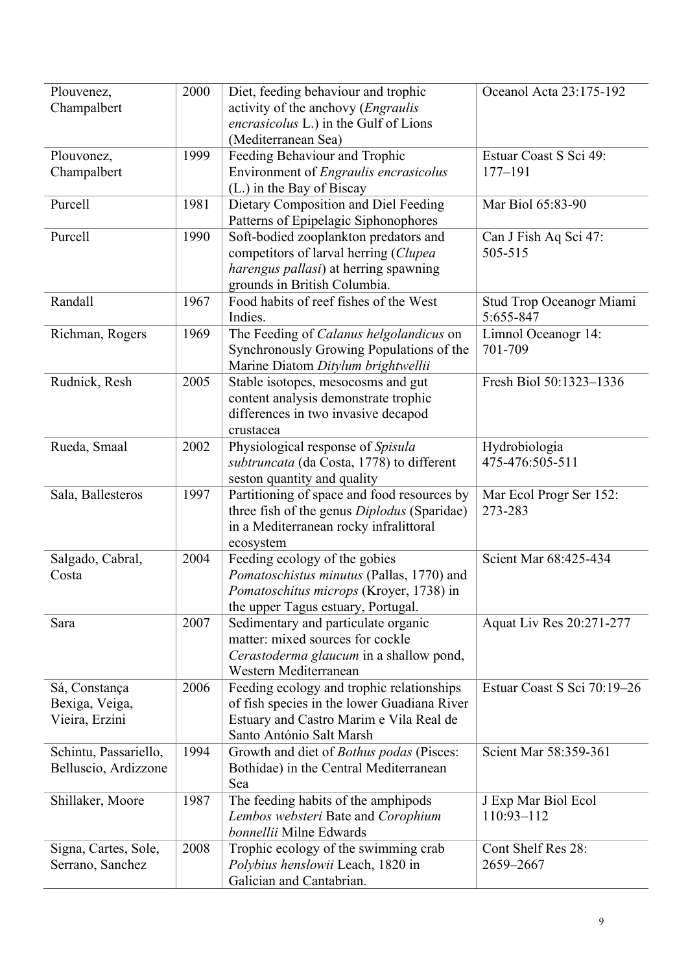| Plouvenez,            | 2000 | Diet, feeding behaviour and trophic                           | Oceanol Acta 23:175-192     |
|-----------------------|------|---------------------------------------------------------------|-----------------------------|
| Champalbert           |      | activity of the anchovy ( <i>Engraulis</i>                    |                             |
|                       |      |                                                               |                             |
|                       |      | encrasicolus L.) in the Gulf of Lions                         |                             |
|                       |      | (Mediterranean Sea)                                           |                             |
| Plouvonez,            | 1999 | Feeding Behaviour and Trophic                                 | Estuar Coast S Sci 49:      |
| Champalbert           |      | Environment of Engraulis encrasicolus                         | $177 - 191$                 |
|                       |      | (L.) in the Bay of Biscay                                     |                             |
| Purcell               | 1981 | Dietary Composition and Diel Feeding                          | Mar Biol 65:83-90           |
|                       |      | Patterns of Epipelagic Siphonophores                          |                             |
| Purcell               | 1990 | Soft-bodied zooplankton predators and                         | Can J Fish Aq Sci 47:       |
|                       |      | competitors of larval herring (Clupea                         | 505-515                     |
|                       |      | harengus pallasi) at herring spawning                         |                             |
|                       |      | grounds in British Columbia.                                  |                             |
| Randall               | 1967 | Food habits of reef fishes of the West                        | Stud Trop Oceanogr Miami    |
|                       |      | Indies.                                                       | 5:655-847                   |
|                       | 1969 | The Feeding of Calanus helgolandicus on                       | Limnol Oceanogr 14:         |
| Richman, Rogers       |      |                                                               |                             |
|                       |      | Synchronously Growing Populations of the                      | 701-709                     |
|                       |      | Marine Diatom Ditylum brightwellii                            |                             |
| Rudnick, Resh         | 2005 | Stable isotopes, mesocosms and gut                            | Fresh Biol 50:1323-1336     |
|                       |      | content analysis demonstrate trophic                          |                             |
|                       |      | differences in two invasive decapod                           |                             |
|                       |      | crustacea                                                     |                             |
| Rueda, Smaal          | 2002 | Physiological response of Spisula                             | Hydrobiologia               |
|                       |      | subtruncata (da Costa, 1778) to different                     | 475-476:505-511             |
|                       |      | seston quantity and quality                                   |                             |
|                       |      |                                                               |                             |
|                       |      |                                                               |                             |
| Sala, Ballesteros     | 1997 | Partitioning of space and food resources by                   | Mar Ecol Progr Ser 152:     |
|                       |      | three fish of the genus <i>Diplodus</i> (Sparidae)            | 273-283                     |
|                       |      | in a Mediterranean rocky infralittoral                        |                             |
|                       |      | ecosystem                                                     |                             |
| Salgado, Cabral,      | 2004 | Feeding ecology of the gobies                                 | Scient Mar 68:425-434       |
| Costa                 |      | Pomatoschistus minutus (Pallas, 1770) and                     |                             |
|                       |      | Pomatoschitus microps (Kroyer, 1738) in                       |                             |
|                       |      | the upper Tagus estuary, Portugal.                            |                             |
| Sara                  | 2007 | Sedimentary and particulate organic                           | Aquat Liv Res 20:271-277    |
|                       |      | matter: mixed sources for cockle                              |                             |
|                       |      | Cerastoderma glaucum in a shallow pond,                       |                             |
|                       |      | Western Mediterranean                                         |                             |
| Sá, Constança         | 2006 | Feeding ecology and trophic relationships                     | Estuar Coast S Sci 70:19-26 |
| Bexiga, Veiga,        |      | of fish species in the lower Guadiana River                   |                             |
|                       |      |                                                               |                             |
| Vieira, Erzini        |      | Estuary and Castro Marim e Vila Real de                       |                             |
|                       |      | Santo António Salt Marsh                                      |                             |
| Schintu, Passariello, | 1994 | Growth and diet of <i>Bothus podas</i> (Pisces:               | Scient Mar 58:359-361       |
| Belluscio, Ardizzone  |      | Bothidae) in the Central Mediterranean                        |                             |
|                       |      | Sea                                                           |                             |
| Shillaker, Moore      | 1987 | The feeding habits of the amphipods                           | J Exp Mar Biol Ecol         |
|                       |      | Lembos websteri Bate and Corophium                            | 110:93-112                  |
|                       |      | bonnellii Milne Edwards                                       |                             |
| Signa, Cartes, Sole,  | 2008 | Trophic ecology of the swimming crab                          | Cont Shelf Res 28:          |
| Serrano, Sanchez      |      | Polybius henslowii Leach, 1820 in<br>Galician and Cantabrian. | 2659-2667                   |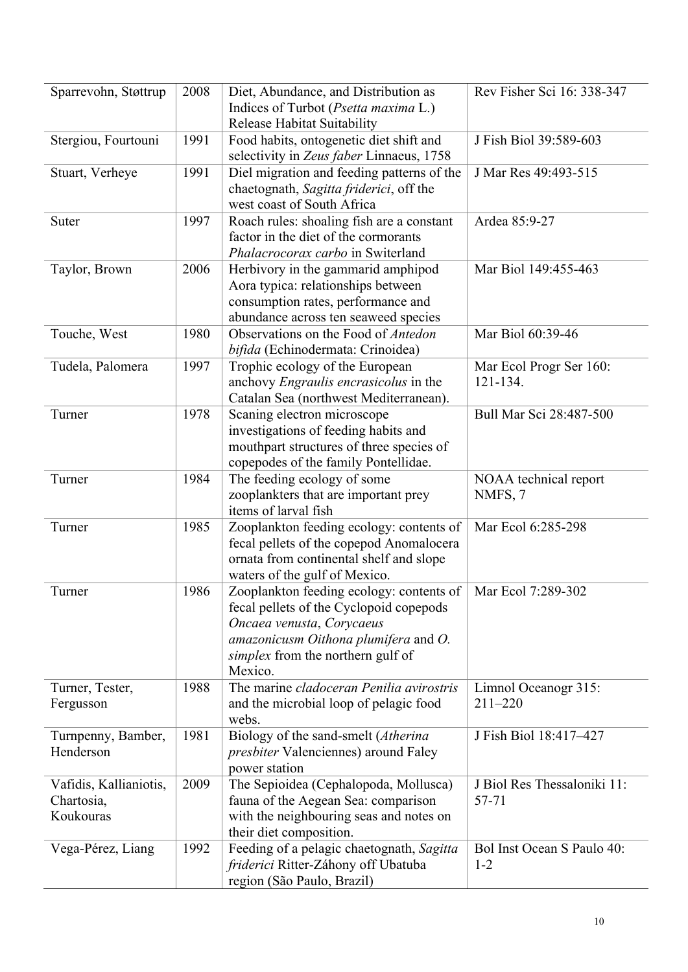| Sparrevohn, Støttrup   | 2008<br>Diet, Abundance, and Distribution as |                                                 | Rev Fisher Sci 16: 338-347  |  |  |
|------------------------|----------------------------------------------|-------------------------------------------------|-----------------------------|--|--|
|                        |                                              | Indices of Turbot (Psetta maxima L.)            |                             |  |  |
|                        |                                              | <b>Release Habitat Suitability</b>              |                             |  |  |
| Stergiou, Fourtouni    | 1991                                         | Food habits, ontogenetic diet shift and         | J Fish Biol 39:589-603      |  |  |
|                        |                                              | selectivity in Zeus faber Linnaeus, 1758        |                             |  |  |
| Stuart, Verheye        | 1991                                         | Diel migration and feeding patterns of the      | J Mar Res 49:493-515        |  |  |
|                        |                                              | chaetognath, Sagitta friderici, off the         |                             |  |  |
|                        |                                              | west coast of South Africa                      |                             |  |  |
| Suter                  | 1997                                         | Roach rules: shoaling fish are a constant       | Ardea 85:9-27               |  |  |
|                        |                                              | factor in the diet of the cormorants            |                             |  |  |
|                        |                                              | Phalacrocorax carbo in Switerland               |                             |  |  |
| Taylor, Brown          | 2006                                         | Herbivory in the gammarid amphipod              | Mar Biol 149:455-463        |  |  |
|                        |                                              | Aora typica: relationships between              |                             |  |  |
|                        |                                              | consumption rates, performance and              |                             |  |  |
|                        |                                              | abundance across ten seaweed species            |                             |  |  |
| Touche, West           | 1980                                         | Observations on the Food of Antedon             | Mar Biol 60:39-46           |  |  |
|                        |                                              | bifida (Echinodermata: Crinoidea)               |                             |  |  |
| Tudela, Palomera       | 1997                                         | Trophic ecology of the European                 | Mar Ecol Progr Ser 160:     |  |  |
|                        |                                              | anchovy Engraulis encrasicolus in the           | 121-134.                    |  |  |
|                        |                                              | Catalan Sea (northwest Mediterranean).          |                             |  |  |
| Turner                 | 1978                                         | Scaning electron microscope                     | Bull Mar Sci 28:487-500     |  |  |
|                        |                                              | investigations of feeding habits and            |                             |  |  |
|                        |                                              |                                                 |                             |  |  |
|                        |                                              | mouthpart structures of three species of        |                             |  |  |
|                        |                                              | copepodes of the family Pontellidae.            |                             |  |  |
| Turner                 | 1984                                         | The feeding ecology of some                     | NOAA technical report       |  |  |
|                        |                                              | zooplankters that are important prey            | NMFS, 7                     |  |  |
|                        |                                              | items of larval fish                            |                             |  |  |
| Turner                 | 1985                                         | Zooplankton feeding ecology: contents of        | Mar Ecol 6:285-298          |  |  |
|                        |                                              | fecal pellets of the copepod Anomalocera        |                             |  |  |
|                        |                                              | ornata from continental shelf and slope         |                             |  |  |
|                        |                                              | waters of the gulf of Mexico.                   |                             |  |  |
| Turner                 | 1986                                         | Zooplankton feeding ecology: contents of        | Mar Ecol 7:289-302          |  |  |
|                        |                                              | fecal pellets of the Cyclopoid copepods         |                             |  |  |
|                        |                                              | Oncaea venusta, Corycaeus                       |                             |  |  |
|                        |                                              | amazonicusm Oithona plumifera and O.            |                             |  |  |
|                        |                                              | simplex from the northern gulf of               |                             |  |  |
|                        |                                              | Mexico.                                         |                             |  |  |
| Turner, Tester,        | 1988                                         | The marine <i>cladoceran Penilia avirostris</i> | Limnol Oceanogr 315:        |  |  |
| Fergusson              |                                              | and the microbial loop of pelagic food          | $211 - 220$                 |  |  |
|                        |                                              | webs.                                           |                             |  |  |
| Turnpenny, Bamber,     | 1981                                         | Biology of the sand-smelt (Atherina             | J Fish Biol 18:417-427      |  |  |
| Henderson              |                                              | <i>presbiter</i> Valenciennes) around Faley     |                             |  |  |
|                        |                                              | power station                                   |                             |  |  |
| Vafidis, Kallianiotis, | 2009                                         | The Sepioidea (Cephalopoda, Mollusca)           | J Biol Res Thessaloniki 11: |  |  |
| Chartosia,             |                                              | fauna of the Aegean Sea: comparison             | 57-71                       |  |  |
| Koukouras              |                                              | with the neighbouring seas and notes on         |                             |  |  |
|                        |                                              | their diet composition.                         |                             |  |  |
| Vega-Pérez, Liang      | 1992                                         | Feeding of a pelagic chaetognath, Sagitta       | Bol Inst Ocean S Paulo 40:  |  |  |
|                        |                                              | friderici Ritter-Záhony off Ubatuba             | $1 - 2$                     |  |  |
|                        |                                              | region (São Paulo, Brazil)                      |                             |  |  |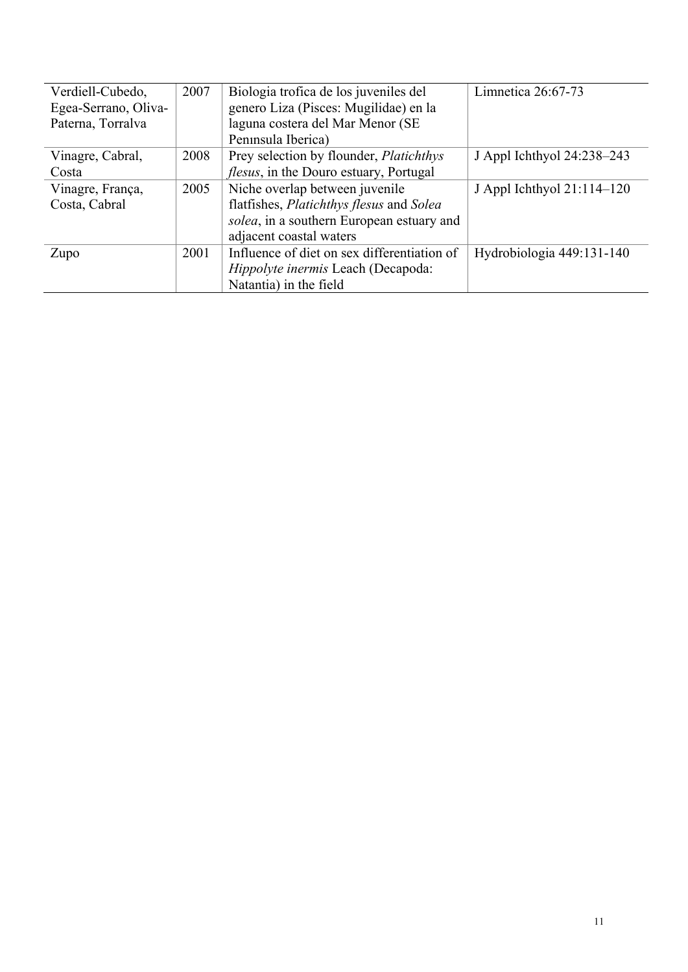| Verdiell-Cubedo,     | 2007 | Biologia trofica de los juveniles del          | Limnetica 26:67-73         |  |
|----------------------|------|------------------------------------------------|----------------------------|--|
| Egea-Serrano, Oliva- |      | genero Liza (Pisces: Mugilidae) en la          |                            |  |
| Paterna, Torralva    |      | laguna costera del Mar Menor (SE               |                            |  |
|                      |      | Peninsula Iberica)                             |                            |  |
| Vinagre, Cabral,     | 2008 | Prey selection by flounder, <i>Platichthys</i> | J Appl Ichthyol 24:238–243 |  |
| Costa                |      | <i>flesus</i> , in the Douro estuary, Portugal |                            |  |
| Vinagre, França,     | 2005 | Niche overlap between juvenile                 | J Appl Ichthyol 21:114–120 |  |
| Costa, Cabral        |      | flatfishes, Platichthys flesus and Solea       |                            |  |
|                      |      | solea, in a southern European estuary and      |                            |  |
|                      |      | adjacent coastal waters                        |                            |  |
| Zupo                 | 2001 | Influence of diet on sex differentiation of    | Hydrobiologia 449:131-140  |  |
|                      |      | Hippolyte inermis Leach (Decapoda:             |                            |  |
|                      |      | Natantia) in the field                         |                            |  |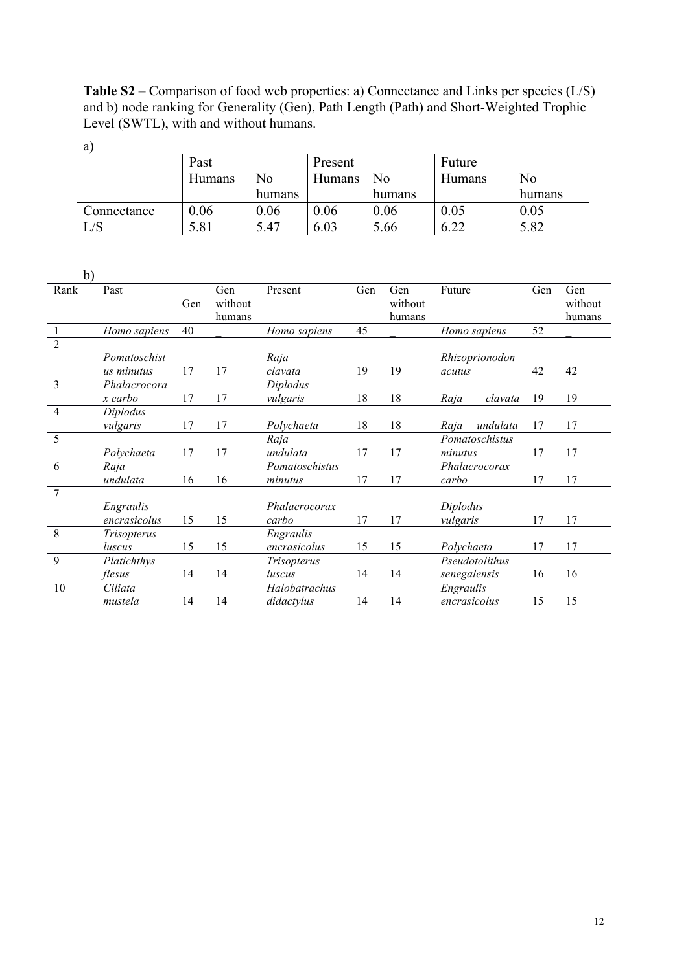**Table S2** – Comparison of food web properties: a) Connectance and Links per species (L/S) and b) node ranking for Generality (Gen), Path Length (Path) and Short-Weighted Trophic Level (SWTL), with and without humans.

a)

|             | Past   |        | Present |        | Future        |          |
|-------------|--------|--------|---------|--------|---------------|----------|
|             | Humans | No     | Humans  | No     | <b>Humans</b> | No       |
|             |        | humans |         | humans |               | humans   |
| Connectance | 0.06   | 0.06   | 0.06    | 0.06   | 0.05          | $0.05\,$ |
| ${\rm L/S}$ | 5.81   | 5.47   | 6.03    | 5.66   | 6.22          | 5.82     |

| b)             |                            |     |                          |                             |     |                          |                                |     |                          |
|----------------|----------------------------|-----|--------------------------|-----------------------------|-----|--------------------------|--------------------------------|-----|--------------------------|
| Rank           | Past                       | Gen | Gen<br>without<br>humans | Present                     | Gen | Gen<br>without<br>humans | Future                         | Gen | Gen<br>without<br>humans |
| $\mathbf{1}$   | Homo sapiens               | 40  |                          | Homo sapiens                | 45  |                          | Homo sapiens                   | 52  |                          |
| $\overline{2}$ | Pomatoschist<br>us minutus | 17  | 17                       | Raja<br>clavata             | 19  | 19                       | Rhizoprionodon<br>acutus       | 42  | 42                       |
| $\overline{3}$ | Phalacrocora<br>x carbo    | 17  | 17                       | Diplodus<br>vulgaris        | 18  | 18                       | Raja<br>clavata                | 19  | 19                       |
| $\overline{4}$ | Diplodus<br>vulgaris       | 17  | 17                       | Polychaeta                  | 18  | 18                       | undulata<br>Raja               | 17  | 17                       |
| 5              | Polychaeta                 | 17  | 17                       | Raja<br>undulata            | 17  | 17                       | Pomatoschistus<br>minutus      | 17  | 17                       |
| 6              | Raja<br>undulata           | 16  | 16                       | Pomatoschistus<br>minutus   | 17  | 17                       | Phalacrocorax<br>carbo         | 17  | 17                       |
| $\overline{7}$ | Engraulis<br>encrasicolus  | 15  | 15                       | Phalacrocorax<br>carbo      | 17  | 17                       | Diplodus<br>vulgaris           | 17  | 17                       |
| 8              | Trisopterus<br>luscus      | 15  | 15                       | Engraulis<br>encrasicolus   | 15  | 15                       | Polychaeta                     | 17  | 17                       |
| 9              | Platichthys<br>flesus      | 14  | 14                       | Trisopterus<br>luscus       | 14  | 14                       | Pseudotolithus<br>senegalensis | 16  | 16                       |
| 10             | Ciliata<br>mustela         | 14  | 14                       | Halobatrachus<br>didactylus | 14  | 14                       | Engraulis<br>encrasicolus      | 15  | 15                       |